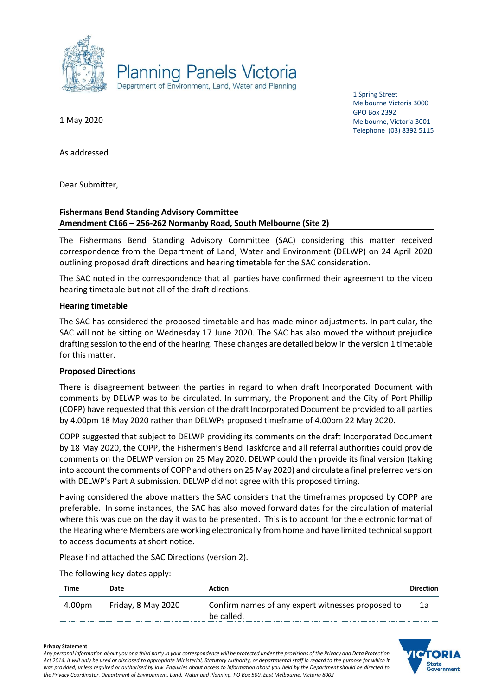

1 Spring Street Melbourne Victoria 3000 GPO Box 2392 Melbourne, Victoria 3001 Telephone (03) 8392 5115

1 May 2020

As addressed

Dear Submitter,

# **Fishermans Bend Standing Advisory Committee Amendment C166 – 256-262 Normanby Road, South Melbourne (Site 2)**

The Fishermans Bend Standing Advisory Committee (SAC) considering this matter received correspondence from the Department of Land, Water and Environment (DELWP) on 24 April 2020 outlining proposed draft directions and hearing timetable for the SAC consideration.

The SAC noted in the correspondence that all parties have confirmed their agreement to the video hearing timetable but not all of the draft directions.

#### **Hearing timetable**

The SAC has considered the proposed timetable and has made minor adjustments. In particular, the SAC will not be sitting on Wednesday 17 June 2020. The SAC has also moved the without prejudice drafting session to the end of the hearing. These changes are detailed below in the version 1 timetable for this matter.

# **Proposed Directions**

There is disagreement between the parties in regard to when draft Incorporated Document with comments by DELWP was to be circulated. In summary, the Proponent and the City of Port Phillip (COPP) have requested that this version of the draft Incorporated Document be provided to all parties by 4.00pm 18 May 2020 rather than DELWPs proposed timeframe of 4.00pm 22 May 2020.

COPP suggested that subject to DELWP providing its comments on the draft Incorporated Document by 18 May 2020, the COPP, the Fishermen's Bend Taskforce and all referral authorities could provide comments on the DELWP version on 25 May 2020. DELWP could then provide its final version (taking into account the comments of COPP and others on 25 May 2020) and circulate a final preferred version with DELWP's Part A submission. DELWP did not agree with this proposed timing.

Having considered the above matters the SAC considers that the timeframes proposed by COPP are preferable. In some instances, the SAC has also moved forward dates for the circulation of material where this was due on the day it was to be presented. This is to account for the electronic format of the Hearing where Members are working electronically from home and have limited technical support to access documents at short notice.

Please find attached the SAC Directions (version 2).

The following key dates apply:

| Time   | Date               | <b>Action</b>                                     | Direction |
|--------|--------------------|---------------------------------------------------|-----------|
| 4.00pm | Friday, 8 May 2020 | Confirm names of any expert witnesses proposed to | 1a        |
|        |                    | be called.                                        |           |

# state Government

#### **Privacy Statement**

*Any personal information about you or a third party in your correspondence will be protected under the provisions of the Privacy and Data Protection Act 2014. It will only be used or disclosed to appropriate Ministerial, Statutory Authority, or departmental staff in regard to the purpose for which it*  was provided, unless required or authorised by law. Enquiries about access to information about you held by the Department should be directed to *the Privacy Coordinator, Department of Environment, Land, Water and Planning, PO Box 500, East Melbourne, Victoria 8002*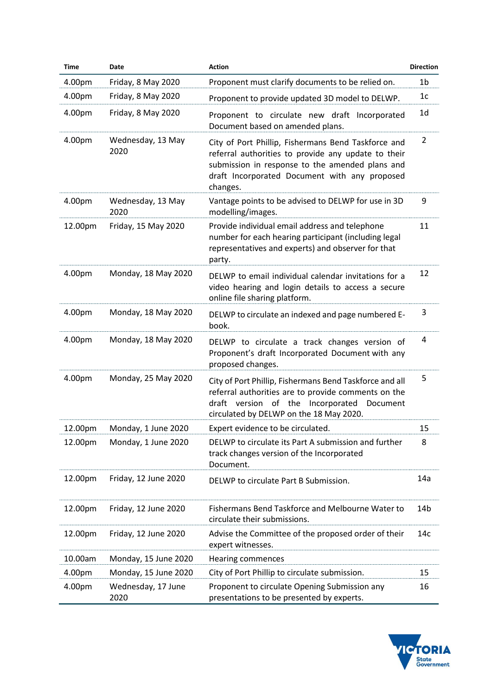| <b>Time</b> | Date                       | <b>Action</b>                                                                                                                                                                                                              | <b>Direction</b> |
|-------------|----------------------------|----------------------------------------------------------------------------------------------------------------------------------------------------------------------------------------------------------------------------|------------------|
| 4.00pm      | Friday, 8 May 2020         | Proponent must clarify documents to be relied on.                                                                                                                                                                          | 1 <sub>b</sub>   |
| 4.00pm      | Friday, 8 May 2020         | Proponent to provide updated 3D model to DELWP.                                                                                                                                                                            | 1 <sub>c</sub>   |
| 4.00pm      | Friday, 8 May 2020         | Proponent to circulate new draft Incorporated<br>Document based on amended plans.                                                                                                                                          | 1 <sub>d</sub>   |
| 4.00pm      | Wednesday, 13 May<br>2020  | City of Port Phillip, Fishermans Bend Taskforce and<br>referral authorities to provide any update to their<br>submission in response to the amended plans and<br>draft Incorporated Document with any proposed<br>changes. | $\overline{2}$   |
| 4.00pm      | Wednesday, 13 May<br>2020  | Vantage points to be advised to DELWP for use in 3D<br>modelling/images.                                                                                                                                                   | 9                |
| 12.00pm     | Friday, 15 May 2020        | Provide individual email address and telephone<br>number for each hearing participant (including legal<br>representatives and experts) and observer for that<br>party.                                                     | 11               |
| 4.00pm      | Monday, 18 May 2020        | DELWP to email individual calendar invitations for a<br>video hearing and login details to access a secure<br>online file sharing platform.                                                                                | 12               |
| 4.00pm      | Monday, 18 May 2020        | DELWP to circulate an indexed and page numbered E-<br>book.                                                                                                                                                                | 3                |
| 4.00pm      | Monday, 18 May 2020        | DELWP to circulate a track changes version of<br>Proponent's draft Incorporated Document with any<br>proposed changes.                                                                                                     | 4                |
| 4.00pm      | Monday, 25 May 2020        | City of Port Phillip, Fishermans Bend Taskforce and all<br>referral authorities are to provide comments on the<br>draft version of the Incorporated<br>Document<br>circulated by DELWP on the 18 May 2020.                 | 5                |
| 12.00pm     | Monday, 1 June 2020        | Expert evidence to be circulated.                                                                                                                                                                                          | 15               |
| 12.00pm     | Monday, 1 June 2020        | DELWP to circulate its Part A submission and further<br>track changes version of the Incorporated<br>Document.                                                                                                             | 8                |
| 12.00pm     | Friday, 12 June 2020       | DELWP to circulate Part B Submission.                                                                                                                                                                                      | 14a              |
| 12.00pm     | Friday, 12 June 2020       | Fishermans Bend Taskforce and Melbourne Water to<br>circulate their submissions.                                                                                                                                           | 14b              |
| 12.00pm     | Friday, 12 June 2020       | Advise the Committee of the proposed order of their<br>expert witnesses.                                                                                                                                                   | 14c              |
| 10.00am     | Monday, 15 June 2020       | Hearing commences                                                                                                                                                                                                          |                  |
| 4.00pm      | Monday, 15 June 2020       | City of Port Phillip to circulate submission.                                                                                                                                                                              | 15               |
| 4.00pm      | Wednesday, 17 June<br>2020 | Proponent to circulate Opening Submission any<br>presentations to be presented by experts.                                                                                                                                 | 16               |

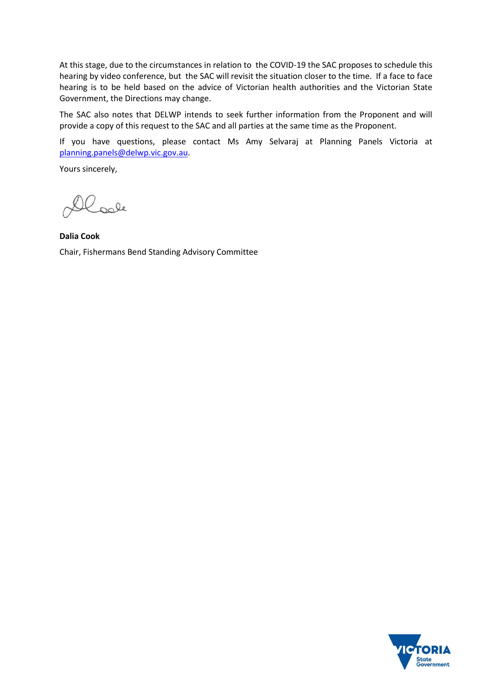At this stage, due to the circumstances in relation to the COVID-19 the SAC proposes to schedule this hearing by video conference, but the SAC will revisit the situation closer to the time. If a face to face hearing is to be held based on the advice of Victorian health authorities and the Victorian State Government, the Directions may change.

The SAC also notes that DELWP intends to seek further information from the Proponent and will provide a copy of this request to the SAC and all parties at the same time as the Proponent.

If you have questions, please contact Ms Amy Selvaraj at Planning Panels Victoria at [planning.panels@delwp.vic.gov.au.](mailto:planning.panels@delwp.vic.gov.au)

Yours sincerely,

Loole

**Dalia Cook** Chair, Fishermans Bend Standing Advisory Committee

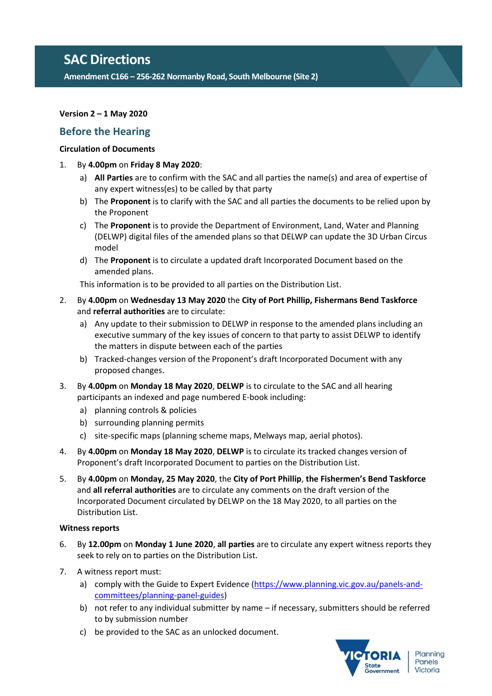# **SAC Directions**

**Amendment C166 – 256-262 Normanby Road, South Melbourne (Site 2)**

# **Version 2 – 1 May 2020**

# **Before the Hearing**

# **Circulation of Documents**

- 1. By **4.00pm** on **Friday 8 May 2020**:
	- a) **All Parties** are to confirm with the SAC and all parties the name(s) and area of expertise of any expert witness(es) to be called by that party
	- b) The **Proponent** is to clarify with the SAC and all parties the documents to be relied upon by the Proponent
	- c) The **Proponent** is to provide the Department of Environment, Land, Water and Planning (DELWP) digital files of the amended plans so that DELWP can update the 3D Urban Circus model
	- d) The **Proponent** is to circulate a updated draft Incorporated Document based on the amended plans.

This information is to be provided to all parties on the Distribution List.

- 2. By **4.00pm** on **Wednesday 13 May 2020** the **City of Port Phillip, Fishermans Bend Taskforce** and **referral authorities** are to circulate:
	- a) Any update to their submission to DELWP in response to the amended plans including an executive summary of the key issues of concern to that party to assist DELWP to identify the matters in dispute between each of the parties
	- b) Tracked-changes version of the Proponent's draft Incorporated Document with any proposed changes.
- 3. By **4.00pm** on **Monday 18 May 2020**, **DELWP** is to circulate to the SAC and all hearing participants an indexed and page numbered E-book including:
	- a) planning controls & policies
	- b) surrounding planning permits
	- c) site-specific maps (planning scheme maps, Melways map, aerial photos).
- 4. By **4.00pm** on **Monday 18 May 2020**, **DELWP** is to circulate its tracked changes version of Proponent's draft Incorporated Document to parties on the Distribution List.
- 5. By **4.00pm** on **Monday, 25 May 2020**, the **City of Port Phillip**, **the Fishermen's Bend Taskforce** and **all referral authorities** are to circulate any comments on the draft version of the Incorporated Document circulated by DELWP on the 18 May 2020, to all parties on the Distribution List.

# **Witness reports**

- 6. By **12.00pm** on **Monday 1 June 2020**, **all parties** are to circulate any expert witness reports they seek to rely on to parties on the Distribution List.
- 7. A witness report must:
	- a) comply with the Guide to Expert Evidence [\(https://www.planning.vic.gov.au/panels-and](https://www.planning.vic.gov.au/panels-and-committees/planning-panel-guides)[committees/planning-panel-guides\)](https://www.planning.vic.gov.au/panels-and-committees/planning-panel-guides)
	- b) not refer to any individual submitter by name if necessary, submitters should be referred to by submission number
	- c) be provided to the SAC as an unlocked document.

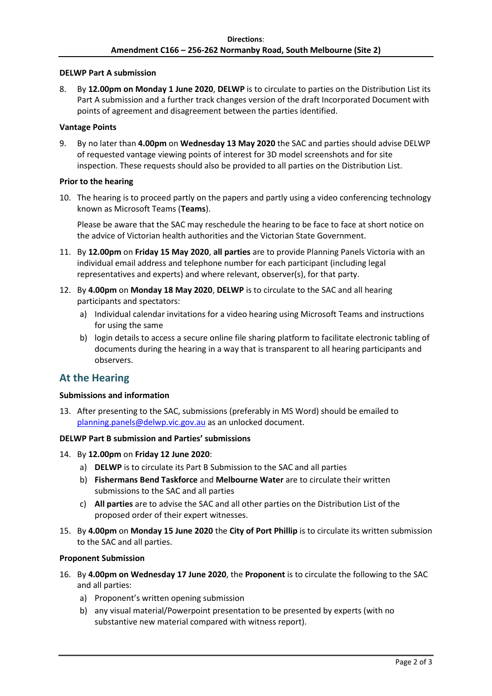# **DELWP Part A submission**

8. By **12.00pm on Monday 1 June 2020**, **DELWP** is to circulate to parties on the Distribution List its Part A submission and a further track changes version of the draft Incorporated Document with points of agreement and disagreement between the parties identified.

#### **Vantage Points**

9. By no later than **4.00pm** on **Wednesday 13 May 2020** the SAC and parties should advise DELWP of requested vantage viewing points of interest for 3D model screenshots and for site inspection. These requests should also be provided to all parties on the Distribution List.

### **Prior to the hearing**

10. The hearing is to proceed partly on the papers and partly using a video conferencing technology known as Microsoft Teams (**Teams**).

Please be aware that the SAC may reschedule the hearing to be face to face at short notice on the advice of Victorian health authorities and the Victorian State Government.

- 11. By **12.00pm** on **Friday 15 May 2020**, **all parties** are to provide Planning Panels Victoria with an individual email address and telephone number for each participant (including legal representatives and experts) and where relevant, observer(s), for that party.
- 12. By **4.00pm** on **Monday 18 May 2020**, **DELWP** is to circulate to the SAC and all hearing participants and spectators:
	- a) Individual calendar invitations for a video hearing using Microsoft Teams and instructions for using the same
	- b) login details to access a secure online file sharing platform to facilitate electronic tabling of documents during the hearing in a way that is transparent to all hearing participants and observers.

# **At the Hearing**

# **Submissions and information**

13. After presenting to the SAC, submissions (preferably in MS Word) should be emailed to [planning.panels@delwp.vic.gov.au](mailto:planning.panels@delwp.vic.gov.au) as an unlocked document.

#### **DELWP Part B submission and Parties' submissions**

- 14. By **12.00pm** on **Friday 12 June 2020**:
	- a) **DELWP** is to circulate its Part B Submission to the SAC and all parties
	- b) **Fishermans Bend Taskforce** and **Melbourne Water** are to circulate their written submissions to the SAC and all parties
	- c) **All parties** are to advise the SAC and all other parties on the Distribution List of the proposed order of their expert witnesses.
- 15. By **4.00pm** on **Monday 15 June 2020** the **City of Port Phillip** is to circulate its written submission to the SAC and all parties.

#### **Proponent Submission**

- 16. By **4.00pm on Wednesday 17 June 2020**, the **Proponent** is to circulate the following to the SAC and all parties:
	- a) Proponent's written opening submission
	- b) any visual material/Powerpoint presentation to be presented by experts (with no substantive new material compared with witness report).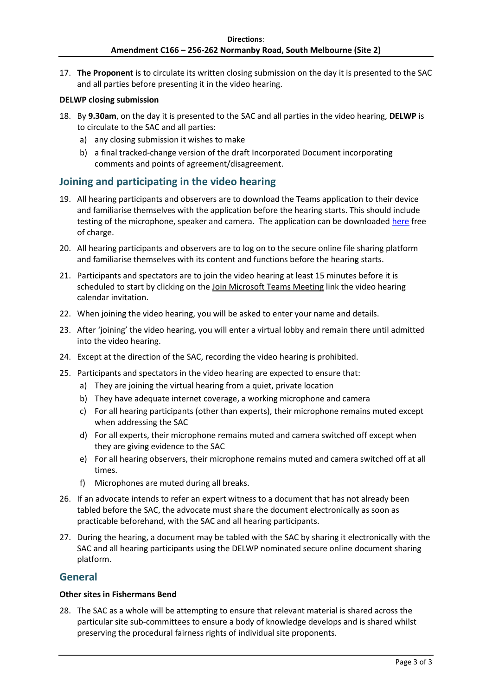17. **The Proponent** is to circulate its written closing submission on the day it is presented to the SAC and all parties before presenting it in the video hearing.

# **DELWP closing submission**

- 18. By **9.30am**, on the day it is presented to the SAC and all parties in the video hearing, **DELWP** is to circulate to the SAC and all parties:
	- a) any closing submission it wishes to make
	- b) a final tracked-change version of the draft Incorporated Document incorporating comments and points of agreement/disagreement.

# **Joining and participating in the video hearing**

- 19. All hearing participants and observers are to download the Teams application to their device and familiarise themselves with the application before the hearing starts. This should include testing of the microphone, speaker and camera. The application can be downloade[d here](https://products.office.com/en-au/microsoft-teams/download-app) free of charge.
- 20. All hearing participants and observers are to log on to the secure online file sharing platform and familiarise themselves with its content and functions before the hearing starts.
- 21. Participants and spectators are to join the video hearing at least 15 minutes before it is scheduled to start by clicking on the Join Microsoft Teams Meeting link the video hearing calendar invitation.
- 22. When joining the video hearing, you will be asked to enter your name and details.
- 23. After 'joining' the video hearing, you will enter a virtual lobby and remain there until admitted into the video hearing.
- 24. Except at the direction of the SAC, recording the video hearing is prohibited.
- 25. Participants and spectators in the video hearing are expected to ensure that:
	- a) They are joining the virtual hearing from a quiet, private location
	- b) They have adequate internet coverage, a working microphone and camera
	- c) For all hearing participants (other than experts), their microphone remains muted except when addressing the SAC
	- d) For all experts, their microphone remains muted and camera switched off except when they are giving evidence to the SAC
	- e) For all hearing observers, their microphone remains muted and camera switched off at all times.
	- f) Microphones are muted during all breaks.
- 26. If an advocate intends to refer an expert witness to a document that has not already been tabled before the SAC, the advocate must share the document electronically as soon as practicable beforehand, with the SAC and all hearing participants.
- 27. During the hearing, a document may be tabled with the SAC by sharing it electronically with the SAC and all hearing participants using the DELWP nominated secure online document sharing platform.

# **General**

# **Other sites in Fishermans Bend**

28. The SAC as a whole will be attempting to ensure that relevant material is shared across the particular site sub-committees to ensure a body of knowledge develops and is shared whilst preserving the procedural fairness rights of individual site proponents.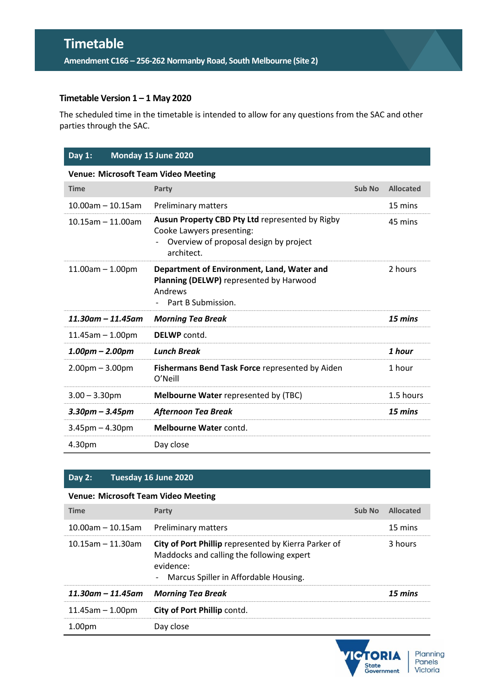# **Timetable**

**Amendment C166 – 256-262 Normanby Road, South Melbourne (Site 2)**

# **Timetable Version 1 – 1 May 2020**

The scheduled time in the timetable is intended to allow for any questions from the SAC and other parties through the SAC.

# **Day 1: Monday 15 June 2020 Venue: Microsoft Team Video Meeting Time Party Party Party CONS CONS Sub No Allocated Sub No Allocated** 10.00am – 10.15am Preliminary matters 15 mins 10.15am – 11.00am **Ausun Property CBD Pty Ltd** represented by Rigby Cooke Lawyers presenting: - Overview of proposal design by project architect. 11.00am – 1.00pm **Department of Environment, Land, Water and Planning (DELWP)** represented by Harwood Andrews - Part B Submission.

| $11.30$ am – $11.45$ am | <b>Morning Tea Break</b>                                      | 15 mins   |
|-------------------------|---------------------------------------------------------------|-----------|
| $11.45$ am $- 1.00$ pm  | <b>DELWP</b> contd.                                           |           |
| $1.00pm - 2.00pm$       | Lunch Break                                                   | 1 hour    |
| $2.00pm - 3.00pm$       | Fishermans Bend Task Force represented by Aiden<br>$O'$ Neill | 1 hour    |
| $3.00 - 3.30$ pm        | <b>Melbourne Water represented by (TBC)</b>                   | 1.5 hours |
| $3.30$ pm – $3.45$ pm   | Afternoon Tea Break                                           | 15 mins   |
| $3.45$ pm $- 4.30$ pm   | Melbourne Water contd.                                        |           |
| 4.30pm                  | Day close                                                     |           |

# **Day 2: Tuesday 16 June 2020**

# **Venue: Microsoft Team Video Meeting**

| <b>Time</b>             | Party                                                                                                                                                     | Sub No | Allocated |
|-------------------------|-----------------------------------------------------------------------------------------------------------------------------------------------------------|--------|-----------|
| $10.00$ am – 10.15am    | <b>Preliminary matters</b>                                                                                                                                |        | 15 mins   |
| $10.15$ am - 11.30am    | City of Port Phillip represented by Kierra Parker of<br>Maddocks and calling the following expert<br>evidence:<br>- Marcus Spiller in Affordable Housing. |        | 3 hours   |
| $11.30$ am – $11.45$ am | <b>Morning Tea Break</b>                                                                                                                                  |        | 15 mins   |
| $11.45$ am $- 1.00$ pm  | <b>City of Port Phillip contd.</b>                                                                                                                        |        |           |
| 1.00 <sub>pm</sub>      | Day close                                                                                                                                                 |        |           |



45 mins

2 hours